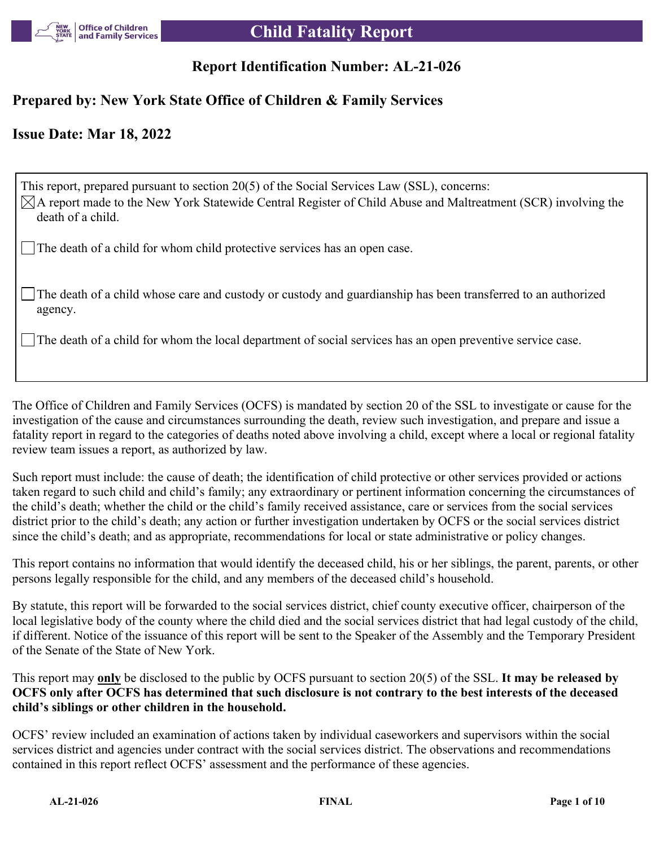

## **Report Identification Number: AL-21-026**

## **Prepared by: New York State Office of Children & Family Services**

## **Issue Date: Mar 18, 2022**

This report, prepared pursuant to section 20(5) of the Social Services Law (SSL), concerns:  $\boxtimes$ A report made to the New York Statewide Central Register of Child Abuse and Maltreatment (SCR) involving the death of a child.

The death of a child for whom child protective services has an open case.

The death of a child whose care and custody or custody and guardianship has been transferred to an authorized agency.

The death of a child for whom the local department of social services has an open preventive service case.

The Office of Children and Family Services (OCFS) is mandated by section 20 of the SSL to investigate or cause for the investigation of the cause and circumstances surrounding the death, review such investigation, and prepare and issue a fatality report in regard to the categories of deaths noted above involving a child, except where a local or regional fatality review team issues a report, as authorized by law.

Such report must include: the cause of death; the identification of child protective or other services provided or actions taken regard to such child and child's family; any extraordinary or pertinent information concerning the circumstances of the child's death; whether the child or the child's family received assistance, care or services from the social services district prior to the child's death; any action or further investigation undertaken by OCFS or the social services district since the child's death; and as appropriate, recommendations for local or state administrative or policy changes.

This report contains no information that would identify the deceased child, his or her siblings, the parent, parents, or other persons legally responsible for the child, and any members of the deceased child's household.

By statute, this report will be forwarded to the social services district, chief county executive officer, chairperson of the local legislative body of the county where the child died and the social services district that had legal custody of the child, if different. Notice of the issuance of this report will be sent to the Speaker of the Assembly and the Temporary President of the Senate of the State of New York.

This report may **only** be disclosed to the public by OCFS pursuant to section 20(5) of the SSL. **It may be released by OCFS only after OCFS has determined that such disclosure is not contrary to the best interests of the deceased child's siblings or other children in the household.**

OCFS' review included an examination of actions taken by individual caseworkers and supervisors within the social services district and agencies under contract with the social services district. The observations and recommendations contained in this report reflect OCFS' assessment and the performance of these agencies.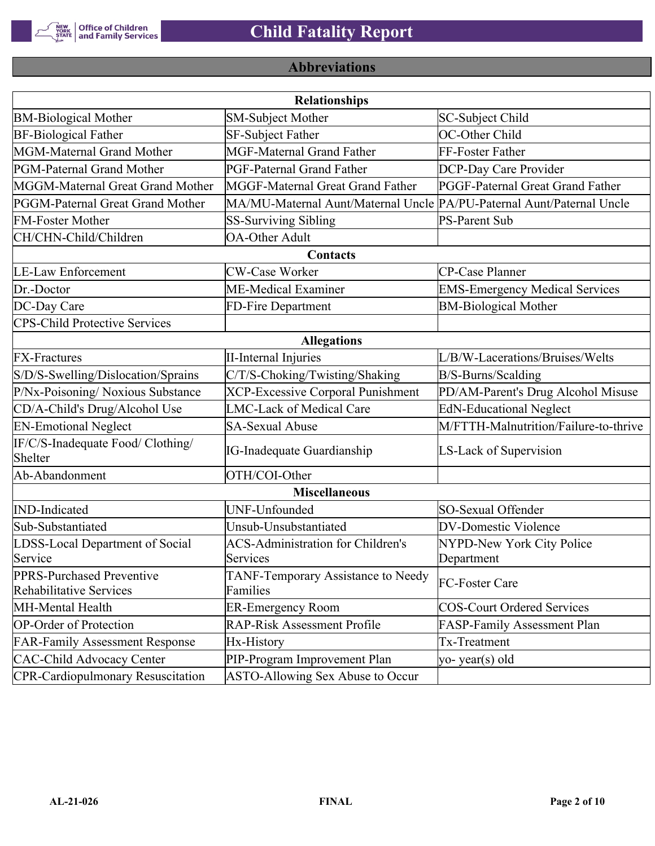

## **Abbreviations**

| <b>Relationships</b>                                 |                                                                       |                                       |  |  |  |
|------------------------------------------------------|-----------------------------------------------------------------------|---------------------------------------|--|--|--|
| <b>BM-Biological Mother</b>                          | <b>SM-Subject Mother</b>                                              | SC-Subject Child                      |  |  |  |
| <b>BF-Biological Father</b>                          | <b>SF-Subject Father</b>                                              | OC-Other Child                        |  |  |  |
| MGM-Maternal Grand Mother                            | <b>MGF-Maternal Grand Father</b>                                      | FF-Foster Father                      |  |  |  |
| PGM-Paternal Grand Mother                            | PGF-Paternal Grand Father                                             | DCP-Day Care Provider                 |  |  |  |
| MGGM-Maternal Great Grand Mother                     | MGGF-Maternal Great Grand Father                                      | PGGF-Paternal Great Grand Father      |  |  |  |
| PGGM-Paternal Great Grand Mother                     | MA/MU-Maternal Aunt/Maternal Uncle PA/PU-Paternal Aunt/Paternal Uncle |                                       |  |  |  |
| <b>FM-Foster Mother</b>                              | <b>SS-Surviving Sibling</b>                                           | <b>PS-Parent Sub</b>                  |  |  |  |
| CH/CHN-Child/Children                                | <b>OA-Other Adult</b>                                                 |                                       |  |  |  |
|                                                      | Contacts                                                              |                                       |  |  |  |
| <b>LE-Law Enforcement</b>                            | <b>CW-Case Worker</b>                                                 | CP-Case Planner                       |  |  |  |
| Dr.-Doctor                                           | <b>ME-Medical Examiner</b>                                            | <b>EMS-Emergency Medical Services</b> |  |  |  |
| DC-Day Care                                          | FD-Fire Department                                                    | <b>BM-Biological Mother</b>           |  |  |  |
| <b>CPS-Child Protective Services</b>                 |                                                                       |                                       |  |  |  |
|                                                      | <b>Allegations</b>                                                    |                                       |  |  |  |
| <b>FX-Fractures</b>                                  | <b>II-Internal Injuries</b>                                           | L/B/W-Lacerations/Bruises/Welts       |  |  |  |
| S/D/S-Swelling/Dislocation/Sprains                   | C/T/S-Choking/Twisting/Shaking                                        | B/S-Burns/Scalding                    |  |  |  |
| P/Nx-Poisoning/ Noxious Substance                    | <b>XCP-Excessive Corporal Punishment</b>                              | PD/AM-Parent's Drug Alcohol Misuse    |  |  |  |
| CD/A-Child's Drug/Alcohol Use                        | <b>LMC-Lack of Medical Care</b>                                       | <b>EdN-Educational Neglect</b>        |  |  |  |
| <b>EN-Emotional Neglect</b>                          | <b>SA-Sexual Abuse</b>                                                | M/FTTH-Malnutrition/Failure-to-thrive |  |  |  |
| IF/C/S-Inadequate Food/ Clothing/<br>Shelter         | <b>IG-Inadequate Guardianship</b>                                     | LS-Lack of Supervision                |  |  |  |
| Ab-Abandonment                                       | OTH/COI-Other                                                         |                                       |  |  |  |
| <b>Miscellaneous</b>                                 |                                                                       |                                       |  |  |  |
| <b>IND-Indicated</b>                                 | UNF-Unfounded                                                         | SO-Sexual Offender                    |  |  |  |
| Sub-Substantiated                                    | Unsub-Unsubstantiated                                                 | DV-Domestic Violence                  |  |  |  |
| LDSS-Local Department of Social                      | <b>ACS-Administration for Children's</b>                              | NYPD-New York City Police             |  |  |  |
| Service                                              | Services                                                              | Department                            |  |  |  |
| PPRS-Purchased Preventive<br>Rehabilitative Services | TANF-Temporary Assistance to Needy<br>Families                        | FC-Foster Care                        |  |  |  |
| MH-Mental Health                                     | <b>ER-Emergency Room</b>                                              | COS-Court Ordered Services            |  |  |  |
| <b>OP-Order of Protection</b>                        | <b>RAP-Risk Assessment Profile</b>                                    | FASP-Family Assessment Plan           |  |  |  |
| <b>FAR-Family Assessment Response</b>                | Hx-History                                                            | Tx-Treatment                          |  |  |  |
| <b>CAC-Child Advocacy Center</b>                     | PIP-Program Improvement Plan                                          | $ yo-year(s)$ old                     |  |  |  |
| <b>CPR-Cardiopulmonary Resuscitation</b>             | ASTO-Allowing Sex Abuse to Occur                                      |                                       |  |  |  |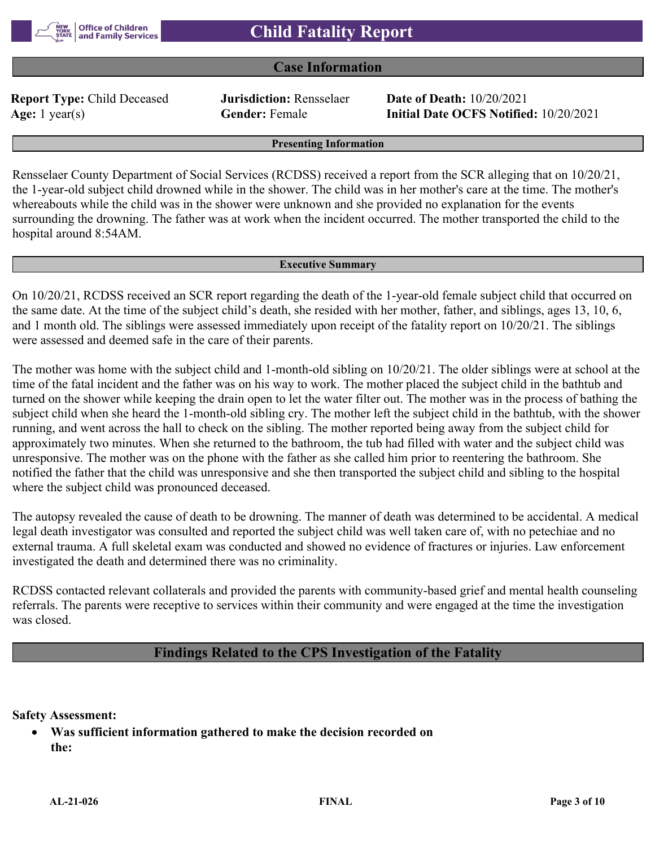

## **Case Information**

**Report Type:** Child Deceased **Jurisdiction:** Rensselaer **Date of Death:** 10/20/2021

**Age:** 1 year(s) **Gender:** Female **Initial Date OCFS Notified:** 10/20/2021

**Presenting Information**

Rensselaer County Department of Social Services (RCDSS) received a report from the SCR alleging that on 10/20/21, the 1-year-old subject child drowned while in the shower. The child was in her mother's care at the time. The mother's whereabouts while the child was in the shower were unknown and she provided no explanation for the events surrounding the drowning. The father was at work when the incident occurred. The mother transported the child to the hospital around 8:54AM.

#### **Executive Summary**

On 10/20/21, RCDSS received an SCR report regarding the death of the 1-year-old female subject child that occurred on the same date. At the time of the subject child's death, she resided with her mother, father, and siblings, ages 13, 10, 6, and 1 month old. The siblings were assessed immediately upon receipt of the fatality report on 10/20/21. The siblings were assessed and deemed safe in the care of their parents.

The mother was home with the subject child and 1-month-old sibling on 10/20/21. The older siblings were at school at the time of the fatal incident and the father was on his way to work. The mother placed the subject child in the bathtub and turned on the shower while keeping the drain open to let the water filter out. The mother was in the process of bathing the subject child when she heard the 1-month-old sibling cry. The mother left the subject child in the bathtub, with the shower running, and went across the hall to check on the sibling. The mother reported being away from the subject child for approximately two minutes. When she returned to the bathroom, the tub had filled with water and the subject child was unresponsive. The mother was on the phone with the father as she called him prior to reentering the bathroom. She notified the father that the child was unresponsive and she then transported the subject child and sibling to the hospital where the subject child was pronounced deceased.

The autopsy revealed the cause of death to be drowning. The manner of death was determined to be accidental. A medical legal death investigator was consulted and reported the subject child was well taken care of, with no petechiae and no external trauma. A full skeletal exam was conducted and showed no evidence of fractures or injuries. Law enforcement investigated the death and determined there was no criminality.

RCDSS contacted relevant collaterals and provided the parents with community-based grief and mental health counseling referrals. The parents were receptive to services within their community and were engaged at the time the investigation was closed.

## **Findings Related to the CPS Investigation of the Fatality**

**Safety Assessment:**

 **Was sufficient information gathered to make the decision recorded on the:**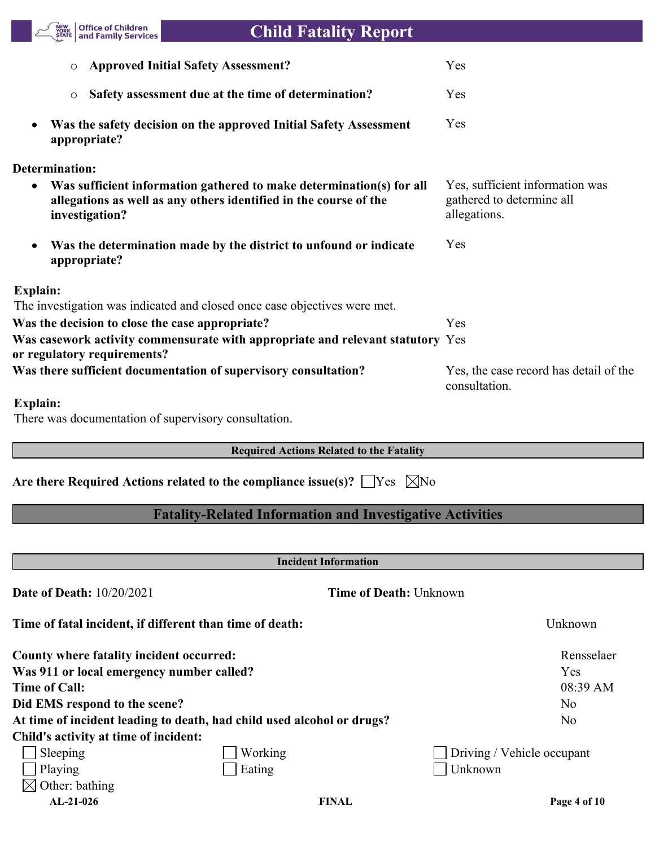

# **Child Fatality Report**

| <b>Approved Initial Safety Assessment?</b>                                                                                                                               | Yes                                                                          |
|--------------------------------------------------------------------------------------------------------------------------------------------------------------------------|------------------------------------------------------------------------------|
| Safety assessment due at the time of determination?<br>$\circ$                                                                                                           | Yes                                                                          |
| Was the safety decision on the approved Initial Safety Assessment<br>$\bullet$<br>appropriate?                                                                           | Yes                                                                          |
| Determination:                                                                                                                                                           |                                                                              |
| Was sufficient information gathered to make determination(s) for all<br>$\bullet$<br>allegations as well as any others identified in the course of the<br>investigation? | Yes, sufficient information was<br>gathered to determine all<br>allegations. |
| Was the determination made by the district to unfound or indicate<br>$\bullet$<br>appropriate?                                                                           | Yes                                                                          |
| <b>Explain:</b>                                                                                                                                                          |                                                                              |
| The investigation was indicated and closed once case objectives were met.                                                                                                |                                                                              |
| Was the decision to close the case appropriate?                                                                                                                          | Yes                                                                          |
| Was casework activity commensurate with appropriate and relevant statutory Yes<br>or regulatory requirements?                                                            |                                                                              |
| Was there sufficient documentation of supervisory consultation?                                                                                                          | Yes, the case record has detail of the<br>consultation.                      |
| <b>Explain:</b>                                                                                                                                                          |                                                                              |

There was documentation of supervisory consultation.

## **Required Actions Related to the Fatality**

Are there Required Actions related to the compliance issue(s)?  $\Box$  Yes  $\Box$  No

## **Fatality-Related Information and Investigative Activities**

| <b>Incident Information</b>                                            |         |                               |                |  |
|------------------------------------------------------------------------|---------|-------------------------------|----------------|--|
| <b>Date of Death: 10/20/2021</b>                                       |         | <b>Time of Death: Unknown</b> |                |  |
| Time of fatal incident, if different than time of death:               |         |                               | Unknown        |  |
| County where fatality incident occurred:                               |         |                               | Rensselaer     |  |
| Was 911 or local emergency number called?                              |         |                               | Yes            |  |
| Time of Call:                                                          |         |                               | 08:39 AM       |  |
| Did EMS respond to the scene?                                          |         |                               | No.            |  |
| At time of incident leading to death, had child used alcohol or drugs? |         |                               | N <sub>0</sub> |  |
| Child's activity at time of incident:                                  |         |                               |                |  |
| Sleeping                                                               | Working | Driving / Vehicle occupant    |                |  |
| $\vert$ Playing                                                        | Eating  | Unknown                       |                |  |
| Other: bathing                                                         |         |                               |                |  |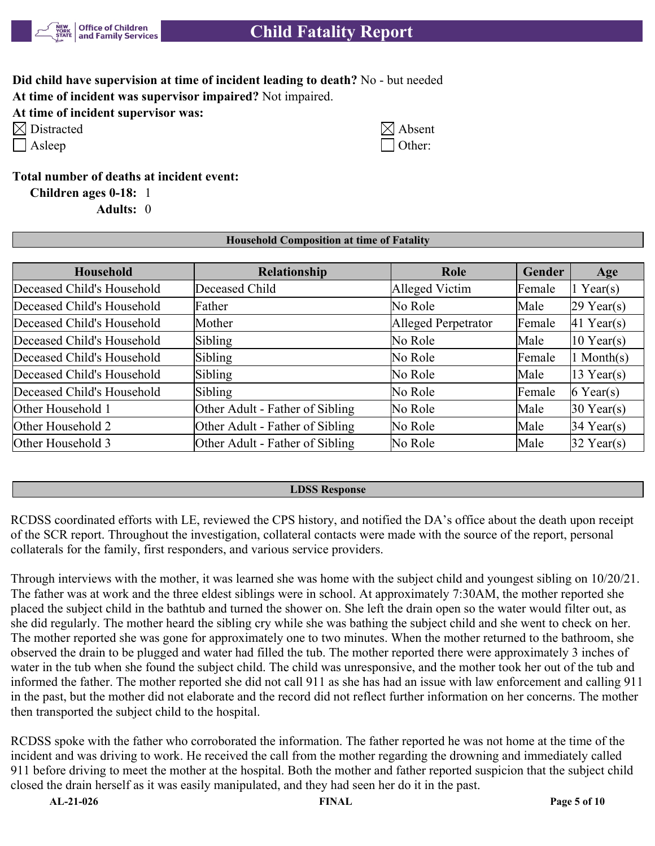

## **Child Fatality Report**

**Did child have supervision at time of incident leading to death?** No - but needed **At time of incident was supervisor impaired?** Not impaired.

## **At time of incident supervisor was:**

| $\boxtimes$ Distracted | $\boxtimes$ Absent |
|------------------------|--------------------|
|                        |                    |

|  | ∙St⊡<br>$\mathbf -$ |
|--|---------------------|
|--|---------------------|

| Distracted | $\boxtimes$ Absent |
|------------|--------------------|
| Asleep     | $\Box$ Other:      |

**Total number of deaths at incident event:**

**Children ages 0-18:** 1

**Adults:** 0

## **Household Composition at time of Fatality**

| <b>Household</b>           | Relationship                    | Role                | Gender | Age          |
|----------------------------|---------------------------------|---------------------|--------|--------------|
| Deceased Child's Household | Deceased Child                  | Alleged Victim      | Female | $1$ Year(s)  |
| Deceased Child's Household | Father                          | No Role             | Male   | $29$ Year(s) |
| Deceased Child's Household | Mother                          | Alleged Perpetrator | Female | $41$ Year(s) |
| Deceased Child's Household | Sibling                         | No Role             | Male   | $10$ Year(s) |
| Deceased Child's Household | Sibling                         | No Role             | Female | $1$ Month(s) |
| Deceased Child's Household | Sibling                         | No Role             | Male   | $13$ Year(s) |
| Deceased Child's Household | Sibling                         | No Role             | Female | $6$ Year(s)  |
| Other Household 1          | Other Adult - Father of Sibling | No Role             | Male   | $30$ Year(s) |
| Other Household 2          | Other Adult - Father of Sibling | No Role             | Male   | $34$ Year(s) |
| Other Household 3          | Other Adult - Father of Sibling | No Role             | Male   | $32$ Year(s) |

#### **LDSS Response**

RCDSS coordinated efforts with LE, reviewed the CPS history, and notified the DA's office about the death upon receipt of the SCR report. Throughout the investigation, collateral contacts were made with the source of the report, personal collaterals for the family, first responders, and various service providers.

Through interviews with the mother, it was learned she was home with the subject child and youngest sibling on 10/20/21. The father was at work and the three eldest siblings were in school. At approximately 7:30AM, the mother reported she placed the subject child in the bathtub and turned the shower on. She left the drain open so the water would filter out, as she did regularly. The mother heard the sibling cry while she was bathing the subject child and she went to check on her. The mother reported she was gone for approximately one to two minutes. When the mother returned to the bathroom, she observed the drain to be plugged and water had filled the tub. The mother reported there were approximately 3 inches of water in the tub when she found the subject child. The child was unresponsive, and the mother took her out of the tub and informed the father. The mother reported she did not call 911 as she has had an issue with law enforcement and calling 911 in the past, but the mother did not elaborate and the record did not reflect further information on her concerns. The mother then transported the subject child to the hospital.

RCDSS spoke with the father who corroborated the information. The father reported he was not home at the time of the incident and was driving to work. He received the call from the mother regarding the drowning and immediately called 911 before driving to meet the mother at the hospital. Both the mother and father reported suspicion that the subject child closed the drain herself as it was easily manipulated, and they had seen her do it in the past.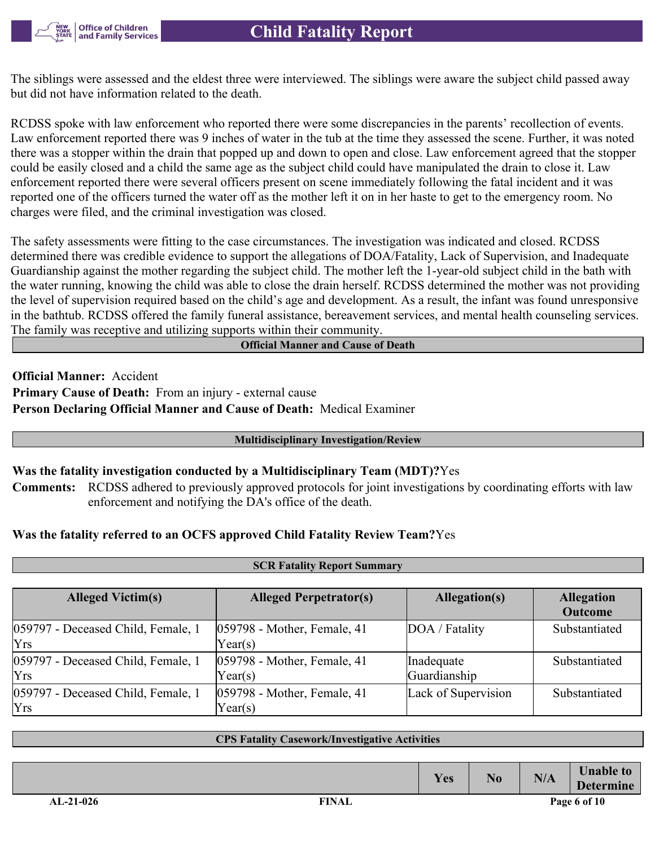**Office of Children** and Family Services

The siblings were assessed and the eldest three were interviewed. The siblings were aware the subject child passed away but did not have information related to the death.

RCDSS spoke with law enforcement who reported there were some discrepancies in the parents' recollection of events. Law enforcement reported there was 9 inches of water in the tub at the time they assessed the scene. Further, it was noted there was a stopper within the drain that popped up and down to open and close. Law enforcement agreed that the stopper could be easily closed and a child the same age as the subject child could have manipulated the drain to close it. Law enforcement reported there were several officers present on scene immediately following the fatal incident and it was reported one of the officers turned the water off as the mother left it on in her haste to get to the emergency room. No charges were filed, and the criminal investigation was closed.

The safety assessments were fitting to the case circumstances. The investigation was indicated and closed. RCDSS determined there was credible evidence to support the allegations of DOA/Fatality, Lack of Supervision, and Inadequate Guardianship against the mother regarding the subject child. The mother left the 1-year-old subject child in the bath with the water running, knowing the child was able to close the drain herself. RCDSS determined the mother was not providing the level of supervision required based on the child's age and development. As a result, the infant was found unresponsive in the bathtub. RCDSS offered the family funeral assistance, bereavement services, and mental health counseling services. The family was receptive and utilizing supports within their community.

#### **Official Manner and Cause of Death**

**Official Manner:** Accident **Primary Cause of Death:** From an injury - external cause **Person Declaring Official Manner and Cause of Death:** Medical Examiner

#### **Multidisciplinary Investigation/Review**

#### **Was the fatality investigation conducted by a Multidisciplinary Team (MDT)?**Yes

**Comments:** RCDSS adhered to previously approved protocols for joint investigations by coordinating efforts with law enforcement and notifying the DA's office of the death.

**SCR Fatality Report Summary**

## **Was the fatality referred to an OCFS approved Child Fatality Review Team?**Yes

| <b>Alleged Victim(s)</b>           | <b>Alleged Perpetrator(s)</b> | <b>Allegation</b>   |                |  |  |
|------------------------------------|-------------------------------|---------------------|----------------|--|--|
|                                    |                               |                     | <b>Outcome</b> |  |  |
| 059797 - Deceased Child, Female, 1 | 059798 - Mother, Female, 41   | DOA / Fatality      | Substantiated  |  |  |
| Yrs                                | Year(s)                       |                     |                |  |  |
| 059797 - Deceased Child, Female, 1 | 059798 - Mother, Female, 41   | Inadequate          | Substantiated  |  |  |
| <b>Yrs</b>                         | $\text{Year}(s)$              | Guardianship        |                |  |  |
| 059797 - Deceased Child, Female, 1 | 059798 - Mother, Female, 41   | Lack of Supervision | Substantiated  |  |  |
| Yrs                                | $\text{Year}(s)$              |                     |                |  |  |

#### **CPS Fatality Casework/Investigative Activities**

**Determine**

 $Yes$  **No N/A Unable to**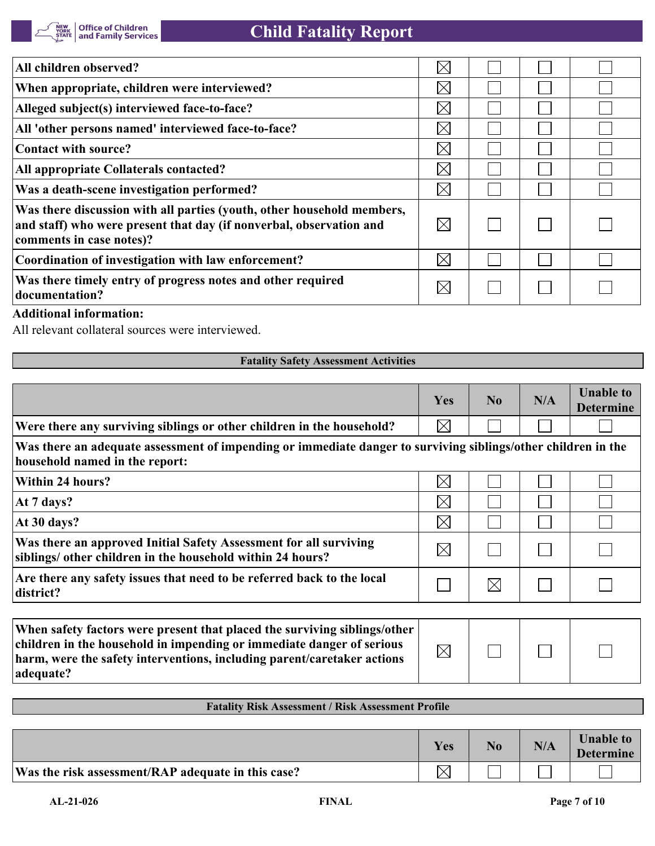| All children observed?                                                                                                                                                    | $\boxtimes$ |  |  |
|---------------------------------------------------------------------------------------------------------------------------------------------------------------------------|-------------|--|--|
| When appropriate, children were interviewed?                                                                                                                              | $\boxtimes$ |  |  |
| Alleged subject(s) interviewed face-to-face?                                                                                                                              | $\bowtie$   |  |  |
| All 'other persons named' interviewed face-to-face?                                                                                                                       | $\boxtimes$ |  |  |
| Contact with source?                                                                                                                                                      | $\boxtimes$ |  |  |
| <b>All appropriate Collaterals contacted?</b>                                                                                                                             | $\boxtimes$ |  |  |
| Was a death-scene investigation performed?                                                                                                                                | $\boxtimes$ |  |  |
| Was there discussion with all parties (youth, other household members,<br>and staff) who were present that day (if nonverbal, observation and<br>comments in case notes)? | $\bowtie$   |  |  |
| Coordination of investigation with law enforcement?                                                                                                                       | $\boxtimes$ |  |  |
| Was there timely entry of progress notes and other required<br>documentation?                                                                                             | $\boxtimes$ |  |  |

## **Additional information:**

All relevant collateral sources were interviewed.

## **Fatality Safety Assessment Activities**

|                                                                                                                                                                                                                                            | Yes         | N <sub>0</sub> | N/A | <b>Unable to</b><br><b>Determine</b> |
|--------------------------------------------------------------------------------------------------------------------------------------------------------------------------------------------------------------------------------------------|-------------|----------------|-----|--------------------------------------|
| Were there any surviving siblings or other children in the household?                                                                                                                                                                      | $\boxtimes$ |                |     |                                      |
| Was there an adequate assessment of impending or immediate danger to surviving siblings/other children in the<br>household named in the report:                                                                                            |             |                |     |                                      |
| <b>Within 24 hours?</b>                                                                                                                                                                                                                    | $\boxtimes$ |                |     |                                      |
| At 7 days?                                                                                                                                                                                                                                 | $\times$    |                |     |                                      |
| At 30 days?                                                                                                                                                                                                                                | $\times$    |                |     |                                      |
| Was there an approved Initial Safety Assessment for all surviving<br>siblings/ other children in the household within 24 hours?                                                                                                            | $\times$    |                |     |                                      |
| Are there any safety issues that need to be referred back to the local<br>district?                                                                                                                                                        |             | $\times$       |     |                                      |
|                                                                                                                                                                                                                                            |             |                |     |                                      |
| When safety factors were present that placed the surviving siblings/other<br>children in the household in impending or immediate danger of serious<br>harm, were the safety interventions, including parent/caretaker actions<br>adequate? | $\boxtimes$ |                |     |                                      |

## **Fatality Risk Assessment / Risk Assessment Profile**

|                                                    | Yes | N <sub>0</sub> | N/A | <b>Unable to</b><br><b>Determine</b> |
|----------------------------------------------------|-----|----------------|-----|--------------------------------------|
| Was the risk assessment/RAP adequate in this case? |     |                |     |                                      |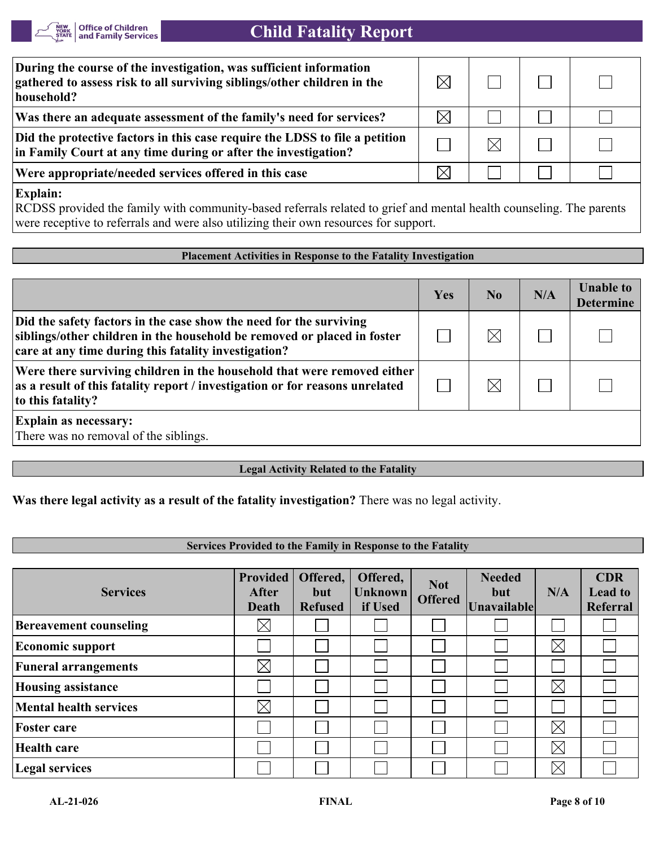

## **Child Fatality Report**

| gathered to assess risk to all surviving siblings/other children in the<br>household?                                                         |  |  |
|-----------------------------------------------------------------------------------------------------------------------------------------------|--|--|
| Was there an adequate assessment of the family's need for services?                                                                           |  |  |
| Did the protective factors in this case require the LDSS to file a petition<br>in Family Court at any time during or after the investigation? |  |  |
| Were appropriate/needed services offered in this case                                                                                         |  |  |

**Explain:**

RCDSS provided the family with community-based referrals related to grief and mental health counseling. The parents were receptive to referrals and were also utilizing their own resources for support.

#### **Placement Activities in Response to the Fatality Investigation**

|                                                                                                                                                                                                       | Yes | N <sub>0</sub> | N/A | <b>Unable to</b><br><b>Determine</b> |
|-------------------------------------------------------------------------------------------------------------------------------------------------------------------------------------------------------|-----|----------------|-----|--------------------------------------|
| Did the safety factors in the case show the need for the surviving<br>siblings/other children in the household be removed or placed in foster<br>care at any time during this fatality investigation? |     |                |     |                                      |
| Were there surviving children in the household that were removed either<br>as a result of this fatality report / investigation or for reasons unrelated<br>to this fatality?                          |     |                |     |                                      |
| <b>Explain as necessary:</b><br>There was no removal of the siblings.                                                                                                                                 |     |                |     |                                      |

#### **Legal Activity Related to the Fatality**

**Was there legal activity as a result of the fatality investigation?** There was no legal activity.

#### **Services Provided to the Family in Response to the Fatality**

| <b>Services</b>               | <b>Provided</b><br><b>After</b><br>Death | Offered,<br>but<br><b>Refused</b> | Offered,<br><b>Unknown</b><br>if Used | <b>Not</b><br><b>Offered</b> | <b>Needed</b><br>but<br><b>Unavailable</b> | N/A         | <b>CDR</b><br><b>Lead to</b><br>Referral |
|-------------------------------|------------------------------------------|-----------------------------------|---------------------------------------|------------------------------|--------------------------------------------|-------------|------------------------------------------|
| <b>Bereavement counseling</b> | $\boxtimes$                              |                                   |                                       |                              |                                            |             |                                          |
| <b>Economic support</b>       |                                          |                                   |                                       |                              |                                            | $\boxtimes$ |                                          |
| <b>Funeral arrangements</b>   | $\boxtimes$                              |                                   |                                       |                              |                                            |             |                                          |
| <b>Housing assistance</b>     |                                          |                                   |                                       |                              |                                            | $\boxtimes$ |                                          |
| <b>Mental health services</b> | $\boxtimes$                              |                                   |                                       |                              |                                            |             |                                          |
| <b>Foster care</b>            |                                          |                                   |                                       |                              |                                            | $\boxtimes$ |                                          |
| Health care                   |                                          |                                   |                                       |                              |                                            | $\boxtimes$ |                                          |
| <b>Legal services</b>         |                                          |                                   |                                       |                              |                                            | $\boxtimes$ |                                          |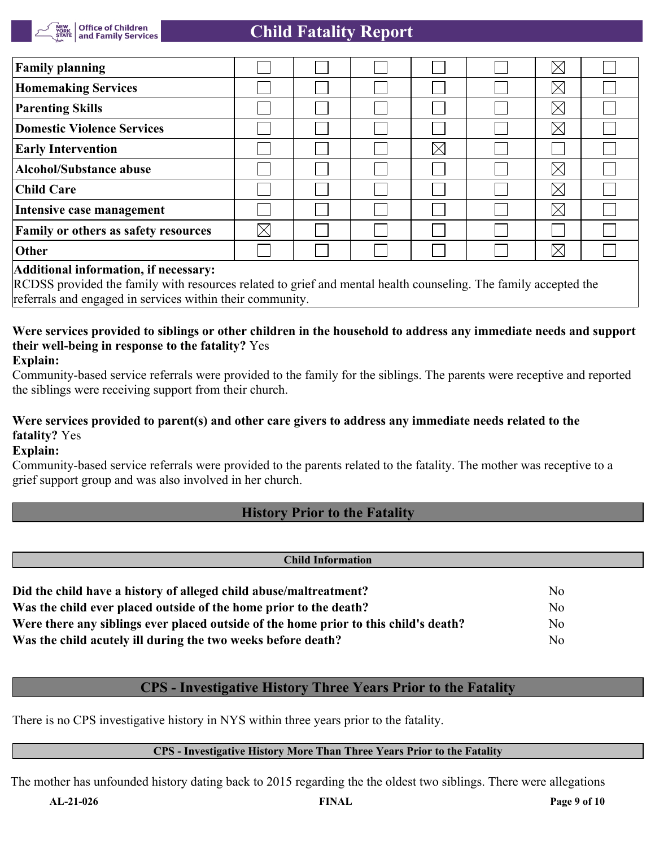

| <b>Family planning</b>                                                                                                                                                                                                                                                                                                                                                               |             |  |             | $\boxtimes$ |  |
|--------------------------------------------------------------------------------------------------------------------------------------------------------------------------------------------------------------------------------------------------------------------------------------------------------------------------------------------------------------------------------------|-------------|--|-------------|-------------|--|
| <b>Homemaking Services</b>                                                                                                                                                                                                                                                                                                                                                           |             |  |             | $\boxtimes$ |  |
| <b>Parenting Skills</b>                                                                                                                                                                                                                                                                                                                                                              |             |  |             | $\boxtimes$ |  |
| Domestic Violence Services                                                                                                                                                                                                                                                                                                                                                           |             |  |             | $\boxtimes$ |  |
| <b>Early Intervention</b>                                                                                                                                                                                                                                                                                                                                                            |             |  | $\boxtimes$ |             |  |
| Alcohol/Substance abuse                                                                                                                                                                                                                                                                                                                                                              |             |  |             | $\boxtimes$ |  |
| <b>Child Care</b>                                                                                                                                                                                                                                                                                                                                                                    |             |  |             | $\boxtimes$ |  |
| Intensive case management                                                                                                                                                                                                                                                                                                                                                            |             |  |             | $\boxtimes$ |  |
| <b>Family or others as safety resources</b>                                                                                                                                                                                                                                                                                                                                          | $\boxtimes$ |  |             |             |  |
| Other                                                                                                                                                                                                                                                                                                                                                                                |             |  |             | $\boxtimes$ |  |
| $\overline{a}$ $\overline{a}$ $\overline{a}$ $\overline{a}$ $\overline{a}$ $\overline{a}$ $\overline{a}$ $\overline{a}$ $\overline{a}$ $\overline{a}$ $\overline{a}$ $\overline{a}$ $\overline{a}$ $\overline{a}$ $\overline{a}$ $\overline{a}$ $\overline{a}$ $\overline{a}$ $\overline{a}$ $\overline{a}$ $\overline{a}$ $\overline{a}$ $\overline{a}$ $\overline{a}$ $\overline{$ |             |  |             |             |  |

## **Additional information, if necessary:**

RCDSS provided the family with resources related to grief and mental health counseling. The family accepted the referrals and engaged in services within their community.

## **Were services provided to siblings or other children in the household to address any immediate needs and support their well-being in response to the fatality?** Yes

**Explain:**

Community-based service referrals were provided to the family for the siblings. The parents were receptive and reported the siblings were receiving support from their church.

## **Were services provided to parent(s) and other care givers to address any immediate needs related to the fatality?** Yes

## **Explain:**

Community-based service referrals were provided to the parents related to the fatality. The mother was receptive to a grief support group and was also involved in her church.

## **History Prior to the Fatality**

| <b>Child Information</b>                                                             |                |  |  |  |  |  |
|--------------------------------------------------------------------------------------|----------------|--|--|--|--|--|
|                                                                                      |                |  |  |  |  |  |
| Did the child have a history of alleged child abuse/maltreatment?                    | N <sub>0</sub> |  |  |  |  |  |
| Was the child ever placed outside of the home prior to the death?                    | N <sub>o</sub> |  |  |  |  |  |
| Were there any siblings ever placed outside of the home prior to this child's death? | N <sub>0</sub> |  |  |  |  |  |
| Was the child acutely ill during the two weeks before death?                         | No             |  |  |  |  |  |

## **CPS - Investigative History Three Years Prior to the Fatality**

There is no CPS investigative history in NYS within three years prior to the fatality.

#### **CPS - Investigative History More Than Three Years Prior to the Fatality**

The mother has unfounded history dating back to 2015 regarding the the oldest two siblings. There were allegations